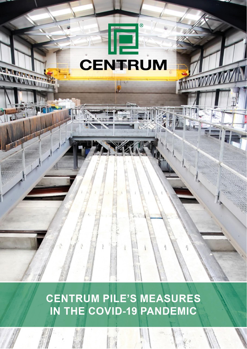# **CENTRUM**

**MARTINE COMPANY** 

 $R$ 

**CENTRUM PILE'S MEASURES** IN THE COVID-19 PANDEMIC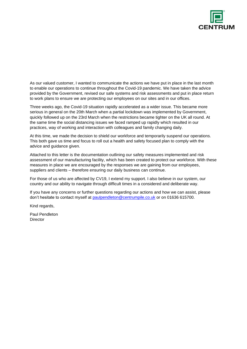

As our valued customer, I wanted to communicate the actions we have put in place in the last month to enable our operations to continue throughout the Covid-19 pandemic. We have taken the advice provided by the Government, revised our safe systems and risk assessments and put in place return to work plans to ensure we are protecting our employees on our sites and in our offices.

Three weeks ago, the Covid-19 situation rapidly accelerated as a wider issue. This became more serious in general on the 20th March when a partial lockdown was implemented by Government, quickly followed up on the 23rd March when the restrictions became tighter on the UK all round. At the same time the social distancing issues we faced ramped up rapidly which resulted in our practices, way of working and interaction with colleagues and family changing daily.

At this time, we made the decision to shield our workforce and temporarily suspend our operations. This both gave us time and focus to roll out a health and safety focused plan to comply with the advice and guidance given.

Attached to this letter is the documentation outlining our safety measures implemented and risk assessment of our manufacturing facility, which has been created to protect our workforce. With these measures in place we are encouraged by the responses we are gaining from our employees, suppliers and clients – therefore ensuring our daily business can continue.

For those of us who are affected by CV19, I extend my support. I also believe in our system, our country and our ability to navigate through difficult times in a considered and deliberate way.

If you have any concerns or further questions regarding our actions and how we can assist, please don't hesitate to contact myself at [paulpendleton@centrumpile.co.uk](mailto:paulpendleton@centrumpile.co.uk) or on 01636 615700.

Kind regards,

Paul Pendleton **Director**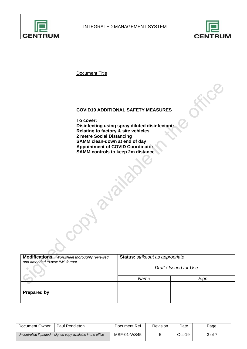



终

Document Title

# **COVID19 ADDITIONAL SAFETY MEASURES**

**To cover: Disinfecting using spray diluted disinfectant: Relating to factory & site vehicles 2 metre Social Distancing SAMM clean-down at end of day Appointment of COVID Coordinator SAMM controls to keep 2m distance**

A PLAIN

**Prozz** 

| <b>Modifications:</b> Worksheet thoroughly reviewed<br>and amended to new IMS format | Status: strikeout as appropriate  |      |  |  |
|--------------------------------------------------------------------------------------|-----------------------------------|------|--|--|
|                                                                                      | <del>Draft</del> / Issued for Use |      |  |  |
|                                                                                      | Name                              | Sign |  |  |
| <b>Prepared by</b>                                                                   |                                   |      |  |  |

| Document Owner                                                | <b>Paul Pendleton</b> | Document Ref | Revision | Date   | Page   |
|---------------------------------------------------------------|-----------------------|--------------|----------|--------|--------|
| Uncontrolled if printed – signed copy available in the office |                       | MSF-01-WS45  |          | Oct-19 | 3 of 7 |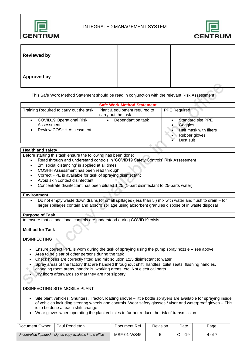



| <b>Reviewed by</b> |  |
|--------------------|--|
| <b>Approved by</b> |  |

This Safe Work Method Statement should be read in conjunction with the relevant Risk Assessment

| <b>Safe Work Method Statement</b>                                               |                                                     |                                                                                      |  |  |  |
|---------------------------------------------------------------------------------|-----------------------------------------------------|--------------------------------------------------------------------------------------|--|--|--|
| Training Required to carry out the task                                         | Plant & equipment required to<br>carry out the task | <b>PPE Required</b>                                                                  |  |  |  |
| <b>COVID19 Operational Risk</b><br>Assessment<br><b>Review COSHH Assessment</b> | Dependant on task                                   | Standard site PPE<br>Goggles<br>Half mask with filters<br>Rubber gloves<br>Dust suit |  |  |  |

### **Health and safety**

Before starting this task ensure the following has been done:

- Read through and understand controls in 'COVID19 Safety Controls' Risk Assessment
- 2m 'social distancing' is applied at all times
- COSHH Assessment has been read through
- Correct PPE is available for task of spraying disinfectant
- Avoid skin contact disinfectant
- Concentrate disinfectant has been diluted 1:25 (1-part disinfectant to 25-parts water)

#### **Environment**

• Do not empty waste down drains for small spillages (less than 5l) mix with water and flush to drain – for larger spillages contain and absorb spillage using absorbent granules dispose of in waste disposal

#### **Purpose of Task**

to ensure that all additional controls are understood during COVID19 crisis

#### **Method for Task**

#### **DISINFECTING**

- Ensure correct PPE is worn during the task of spraying using the pump spray nozzle see above
- Area to be clear of other persons during the task
- Check hoses are correctly fitted and mix solution 1:25 disinfectant to water
- Spray areas of the factory that are handled throughout shift: handles, toilet seats, flushing handles,
- changing room areas, handrails, working areas, etc. Not electrical parts
- Dry floors afterwards so that they are not slippery

### DISINFECTING SITE MOBILE PLANT

- Site plant vehicles: Shunters, Tractor, loading shovel little bottle sprayers are available for spraying inside of vehicles including steering wheels and controls. Wear safety glasses / visor and waterproof gloves – This is to be done at each shift change
- Wear gloves when operating the plant vehicles to further reduce the risk of transmission.

| Document Owner                                                | <b>Paul Pendleton</b> | Document Ref | Revision | Date     | Page   |
|---------------------------------------------------------------|-----------------------|--------------|----------|----------|--------|
| Uncontrolled if printed – signed copy available in the office |                       | MSF-01-WS45  |          | $Oct-19$ | 4 of 7 |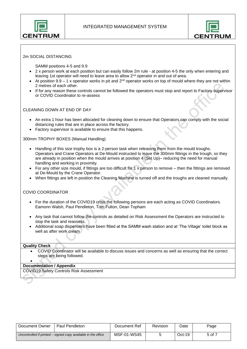



#### 2m SOCIAL DISTANCING

SAMM positions 4-5 and 9.9

- 2 x person work at each position but can easily follow 2m rule at position 4-5 the only when entering and leaving 1st operator will need to leave area to allow 2nd operator in and out of area.
- At position  $9.9 1$  x operator works in pit and  $2^{nd}$  operator works on top of mould where they are not within 2 metres of each other.
- If for any reason these controls cannot be followed the operators must stop and report to Factory supervisor or COVID Coordinator to re-assess

#### CLEANING DOWN AT END OF DAY

- An extra 1 hour has been allocated for cleaning down to ensure that Operators can comply with the social distancing rules that are in place across the factory.
- Factory supervisor is available to ensure that this happens.

300mm TROPHY BOXES (Manual Handling)

- Handling of this size trophy box is a 2-person task when releasing them from the mould troughs. Operators and Crane Operators at De-Mould instructed to leave the 300mm fittings in the trough, so they are already in position when the mould arrives at position 4 (Set Up)– reducing the need for manual handling and working in proximity.
- For any other size mould, if fittings are too difficult for 1 x person to remove then the fittings are removed at De-Mould by the Crane Operator.
- When fittings are left in position the Cleaning Machine is turned off and the troughs are cleaned manually.

#### COVID COORDINATOR

- For the duration of the COVID19 crisis the following persons are each acting as COVID Coordinators. Eamonn Walsh, Paul Pendleton, Tom Fulton, Dean Topham
- Any task that cannot follow the controls as detailed on Risk Assessment the Operators are instructed to stop the task and reassess.
- Additional soap dispensers have been fitted at the SAMM wash station and at 'The Village' toilet block as well as after work cream

#### **Quality Check**

• COVID Coordinator will be available to discuss issues and concerns as well as ensuring that the correct steps are being followed.

#### • **Documentation / Appendix**

COVID19 Safety Controls Risk Assessment

| Document Owner                                                | <b>Paul Pendleton</b> | Document Ref | Revision | Date     | Page   |
|---------------------------------------------------------------|-----------------------|--------------|----------|----------|--------|
| Uncontrolled if printed – signed copy available in the office |                       | MSF-01-WS45  |          | $Oct-19$ | 5 of 7 |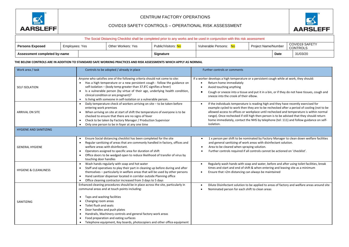

# CENTRUM FACTORY OPERATIONS

# COVID19 SAFETY CONTROLS – OPERATIONAL RISK ASSESSMENT



| The Social Distancing Checklist shall be completed prior to any works and be used in conjunction with this risk assessment |                |                    |                     |                     |                     |                                          |
|----------------------------------------------------------------------------------------------------------------------------|----------------|--------------------|---------------------|---------------------|---------------------|------------------------------------------|
| Persons Exposed                                                                                                            | Employees: Yes | Other Workers: Yes | Public/Visitors: No | Vulnerable Persons: | Project Name/Number | <b>COVID19 SAFETY</b><br><b>CONTROLS</b> |

**Assessment completed by-name Date** 31/03/20

#### **THE BELOW CONTROLS ARE IN ADDITION TO STANDARD SAFE WORKING PRACTICES AND RISK ASSESSMENTS WHICH APPLY AS NORMAL**

| Work area / task                 | Controls to be adopted / already in place                                                                                                                                                                                                                                                                                                                                                                                               | Further controls or comments                                                                                                                                                                                                                                                                                                                                                                                                                                                                  |
|----------------------------------|-----------------------------------------------------------------------------------------------------------------------------------------------------------------------------------------------------------------------------------------------------------------------------------------------------------------------------------------------------------------------------------------------------------------------------------------|-----------------------------------------------------------------------------------------------------------------------------------------------------------------------------------------------------------------------------------------------------------------------------------------------------------------------------------------------------------------------------------------------------------------------------------------------------------------------------------------------|
| <b>SELF ISOLATION</b>            | Anyone who satisfies one of the following criteria should not come to site:<br>Has a high temperature or a new persistent cough - follow the guidance on<br>self-isolation – (body temp greater than 37.8'C signifies a fever)<br>Is a vulnerable person (by virtue of their age, underlying health condition,<br>$\bullet$<br>clinical condition or are pregnant)?<br>Is living with someone in self-isolation or a vulnerable person. | If a worker develops a high temperature or a persistent cough while at work, they should:<br>Return home immediately<br>Avoid touching anything<br>Cough or sneeze into a tissue and put it in a bin, or if they do not have tissues, cough and<br>sneeze into the crook of their elbow.                                                                                                                                                                                                      |
| <b>ARRIVAL ON SITE</b>           | Daily temperature check of workers arriving on site - to be taken before<br>$\bullet$<br>entering work premises<br>When arriving on site at start of shift the temperature of everyone is to be<br>checked to ensure that there are no signs of fever<br>Check to be taken by Factory Manager / Production Supervisor<br>$\bullet$<br>Only one person to be in foyer at any one time                                                    | If the individuals temperature is reading high and they have recently exercised for<br>$\bullet$<br>example cycled to work then they are to be rechecked after a period of cooling (not to be<br>allowed access to offices or workplace until rechecked and temperature is within normal<br>range). Once rechecked if still high then person is to be advised that they should return<br>home immediately, contact the NHS by telephone (tel: 111) and follow guidance on self-<br>isolation. |
| <b>HYGIENE AND SANITIZING</b>    |                                                                                                                                                                                                                                                                                                                                                                                                                                         |                                                                                                                                                                                                                                                                                                                                                                                                                                                                                               |
| <b>GENERAL HYGIENE</b>           | Ensure Social distancing checklist has been completed for the site<br>Regular sanitizing of areas that are commonly handled in factory, offices and<br>welfare areas with disinfectant.<br>Operators assigned to specific area for duration of shift<br>Office doors to be wedged open to reduce likelihood of transfer of virus by<br>touching door handles                                                                            | 1 x person per shift to be nominated by Factory Manager to clean down welfare facilities<br>and general sanitizing of work areas with disinfectant solution.<br>Area to be cleared when spraying solution.<br>Further controls required if all controls cannot be actioned on 'checklist'.                                                                                                                                                                                                    |
| <b>HYGIENE &amp; CLEANLINESS</b> | Wash hands regularly with soap and hot water<br>Staff and operatives to play their part in cleaning up before during and after<br>themselves - particularly in welfare areas that will be used by other persons<br>Hand sanitizer dispenser located in corridor outside Planning office<br>$\bullet$<br>Office cleaning contractor increased from 3 days to 5 days                                                                      | Regularly wash hands with soap and water, before and after using toilet facilities, break<br>times and start and end of shift & when entering and leaving site as a minimum<br>Ensure that >2m distancing can always be maintained                                                                                                                                                                                                                                                            |
| SANITIZING                       | Enhanced cleaning procedures should be in place across the site, particularly in<br>communal areas and at touch points including:<br>Taps and washing facilities<br>$\bullet$<br>Changing room areas<br>$\bullet$<br>Toilet flush and seats<br>$\bullet$<br>Door handles and push plates<br>Handrails, Machinery controls and general factory work areas<br>$\bullet$<br>Food preparation and eating surfaces                           | Dilute Disinfectant solution to be applied to areas of factory and welfare areas around site<br>Nominated person for each shift to clean areas                                                                                                                                                                                                                                                                                                                                                |
|                                  | Telephone equipment, Key boards, photocopiers and other office equipment                                                                                                                                                                                                                                                                                                                                                                |                                                                                                                                                                                                                                                                                                                                                                                                                                                                                               |